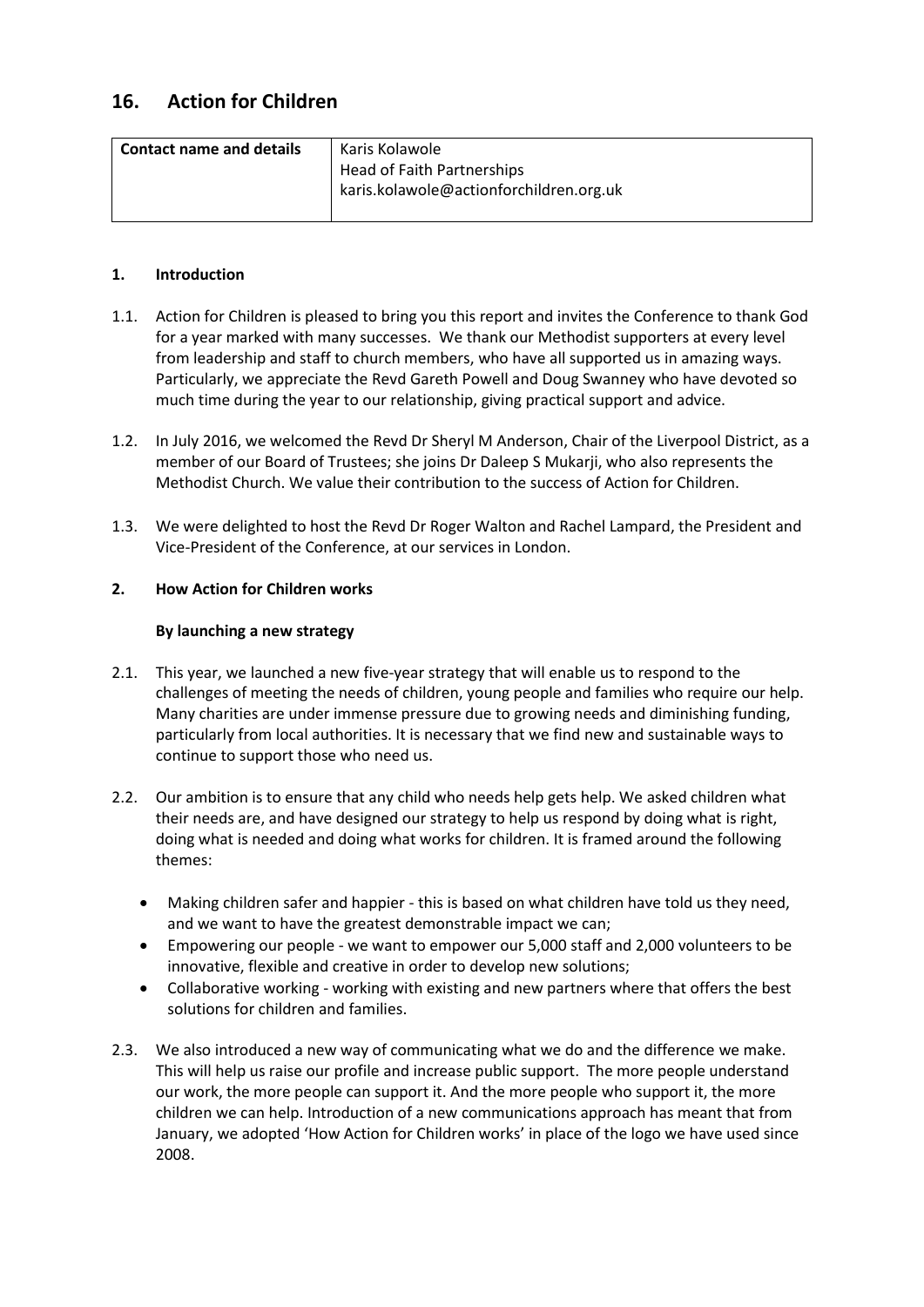# **16. Action for Children**

| <b>Contact name and details</b> | Karis Kolawole                          |
|---------------------------------|-----------------------------------------|
|                                 | Head of Faith Partnerships              |
|                                 | karis.kolawole@actionforchildren.org.uk |
|                                 |                                         |

## **1. Introduction**

- 1.1. Action for Children is pleased to bring you this report and invites the Conference to thank God for a year marked with many successes. We thank our Methodist supporters at every level from leadership and staff to church members, who have all supported us in amazing ways. Particularly, we appreciate the Revd Gareth Powell and Doug Swanney who have devoted so much time during the year to our relationship, giving practical support and advice.
- 1.2. In July 2016, we welcomed the Revd Dr Sheryl M Anderson, Chair of the Liverpool District, as a member of our Board of Trustees; she joins Dr Daleep S Mukarji, who also represents the Methodist Church. We value their contribution to the success of Action for Children.
- 1.3. We were delighted to host the Revd Dr Roger Walton and Rachel Lampard, the President and Vice-President of the Conference, at our services in London.

## **2. How Action for Children works**

## **By launching a new strategy**

- 2.1. This year, we launched a new five-year strategy that will enable us to respond to the challenges of meeting the needs of children, young people and families who require our help. Many charities are under immense pressure due to growing needs and diminishing funding, particularly from local authorities. It is necessary that we find new and sustainable ways to continue to support those who need us.
- 2.2. Our ambition is to ensure that any child who needs help gets help. We asked children what their needs are, and have designed our strategy to help us respond by doing what is right, doing what is needed and doing what works for children. It is framed around the following themes:
	- Making children safer and happier this is based on what children have told us they need, and we want to have the greatest demonstrable impact we can;
	- Empowering our people we want to empower our 5,000 staff and 2,000 volunteers to be innovative, flexible and creative in order to develop new solutions;
	- Collaborative working working with existing and new partners where that offers the best solutions for children and families.
- 2.3. We also introduced a new way of communicating what we do and the difference we make. This will help us raise our profile and increase public support. The more people understand our work, the more people can support it. And the more people who support it, the more children we can help. Introduction of a new communications approach has meant that from January, we adopted 'How Action for Children works' in place of the logo we have used since 2008.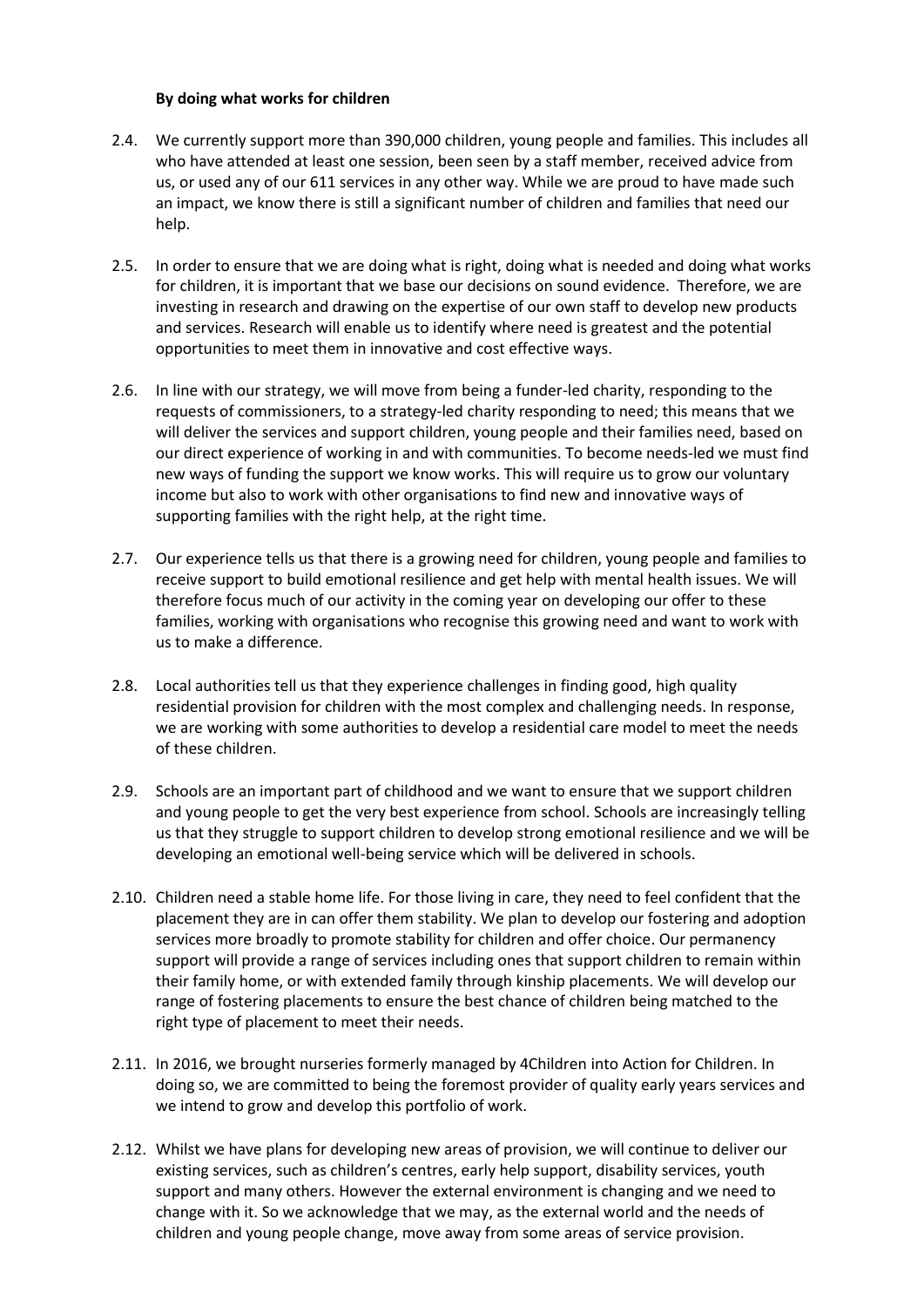#### **By doing what works for children**

- 2.4. We currently support more than 390,000 children, young people and families. This includes all who have attended at least one session, been seen by a staff member, received advice from us, or used any of our 611 services in any other way. While we are proud to have made such an impact, we know there is still a significant number of children and families that need our help.
- 2.5. In order to ensure that we are doing what is right, doing what is needed and doing what works for children, it is important that we base our decisions on sound evidence. Therefore, we are investing in research and drawing on the expertise of our own staff to develop new products and services. Research will enable us to identify where need is greatest and the potential opportunities to meet them in innovative and cost effective ways.
- 2.6. In line with our strategy, we will move from being a funder-led charity, responding to the requests of commissioners, to a strategy-led charity responding to need; this means that we will deliver the services and support children, young people and their families need, based on our direct experience of working in and with communities. To become needs-led we must find new ways of funding the support we know works. This will require us to grow our voluntary income but also to work with other organisations to find new and innovative ways of supporting families with the right help, at the right time.
- 2.7. Our experience tells us that there is a growing need for children, young people and families to receive support to build emotional resilience and get help with mental health issues. We will therefore focus much of our activity in the coming year on developing our offer to these families, working with organisations who recognise this growing need and want to work with us to make a difference.
- 2.8. Local authorities tell us that they experience challenges in finding good, high quality residential provision for children with the most complex and challenging needs. In response, we are working with some authorities to develop a residential care model to meet the needs of these children.
- 2.9. Schools are an important part of childhood and we want to ensure that we support children and young people to get the very best experience from school. Schools are increasingly telling us that they struggle to support children to develop strong emotional resilience and we will be developing an emotional well-being service which will be delivered in schools.
- 2.10. Children need a stable home life. For those living in care, they need to feel confident that the placement they are in can offer them stability. We plan to develop our fostering and adoption services more broadly to promote stability for children and offer choice. Our permanency support will provide a range of services including ones that support children to remain within their family home, or with extended family through kinship placements. We will develop our range of fostering placements to ensure the best chance of children being matched to the right type of placement to meet their needs.
- 2.11. In 2016, we brought nurseries formerly managed by 4Children into Action for Children. In doing so, we are committed to being the foremost provider of quality early years services and we intend to grow and develop this portfolio of work.
- 2.12. Whilst we have plans for developing new areas of provision, we will continue to deliver our existing services, such as children's centres, early help support, disability services, youth support and many others. However the external environment is changing and we need to change with it. So we acknowledge that we may, as the external world and the needs of children and young people change, move away from some areas of service provision.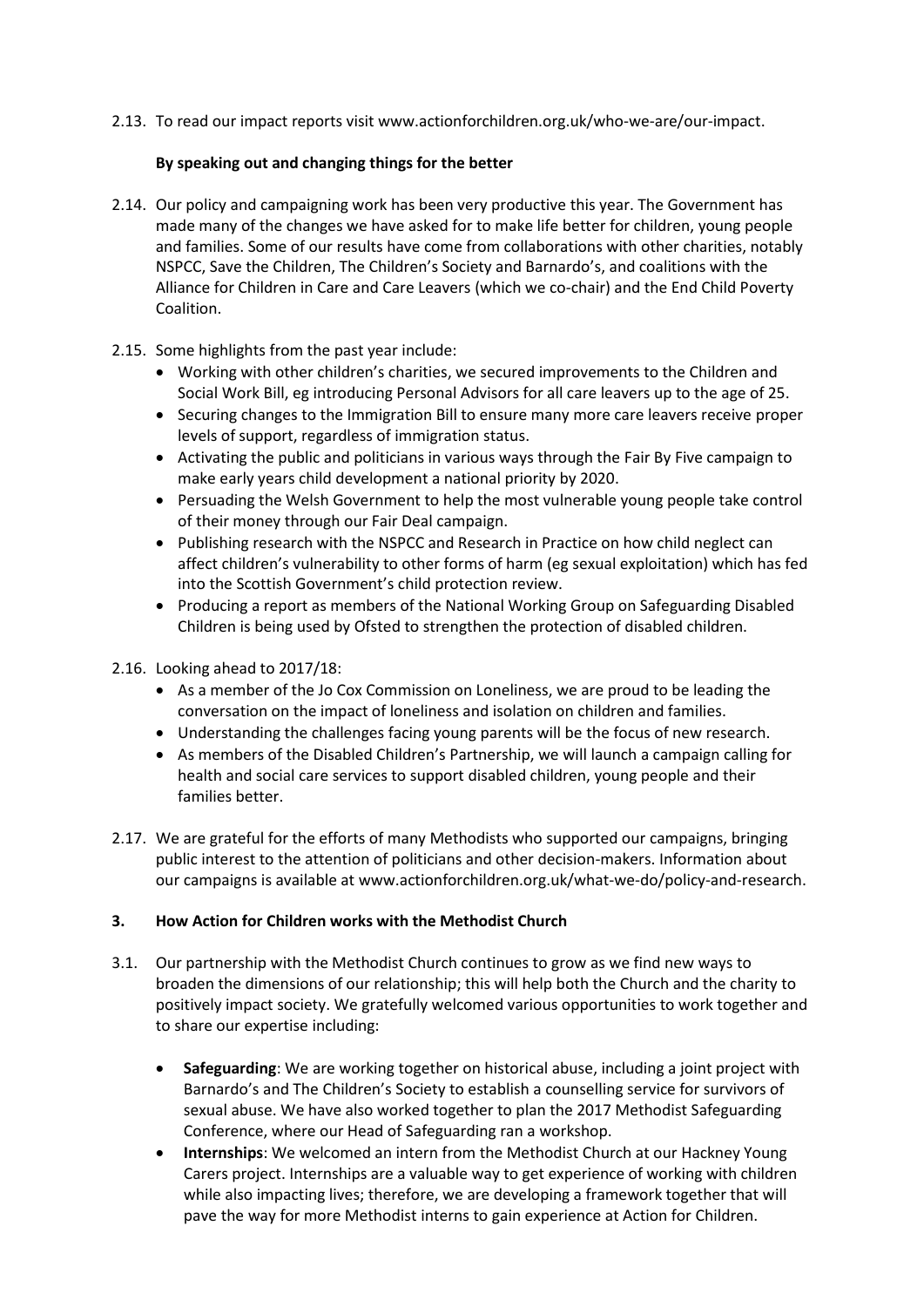2.13. To read our impact reports visit [www.actionforchildren.org.uk/who-we-are/our-impact.](http://www.actionforchildren.org.uk/who-we-are/our-impact)

### **By speaking out and changing things for the better**

- 2.14. Our policy and campaigning work has been very productive this year. The Government has made many of the changes we have asked for to make life better for children, young people and families. Some of our results have come from collaborations with other charities, notably NSPCC, Save the Children, The Children's Society and Barnardo's, and coalitions with the Alliance for Children in Care and Care Leavers (which we co-chair) and the End Child Poverty Coalition.
- 2.15. Some highlights from the past year include:
	- Working with other children's charities, we secured improvements to the Children and Social Work Bill, eg introducing Personal Advisors for all care leavers up to the age of 25.
	- Securing changes to the Immigration Bill to ensure many more care leavers receive proper levels of support, regardless of immigration status.
	- Activating the public and politicians in various ways through the Fair By Five campaign to make early years child development a national priority by 2020.
	- Persuading the Welsh Government to help the most vulnerable young people take control of their money through our Fair Deal campaign.
	- Publishing research with the NSPCC and Research in Practice on how child neglect can affect children's vulnerability to other forms of harm (eg sexual exploitation) which has fed into the Scottish Government's child protection review.
	- Producing a report as members of the National Working Group on Safeguarding Disabled Children is being used by Ofsted to strengthen the protection of disabled children.

#### 2.16. Looking ahead to 2017/18:

- As a member of the Jo Cox Commission on Loneliness, we are proud to be leading the conversation on the impact of loneliness and isolation on children and families.
- Understanding the challenges facing young parents will be the focus of new research.
- As members of the Disabled Children's Partnership, we will launch a campaign calling for health and social care services to support disabled children, young people and their families better.
- 2.17. We are grateful for the efforts of many Methodists who supported our campaigns, bringing public interest to the attention of politicians and other decision-makers. Information about our campaigns is available at [www.actionforchildren.org.uk/what-we-do/policy-and-research.](http://www.actionforchildren.org.uk/what-we-do/policy-and-research)

## **3. How Action for Children works with the Methodist Church**

- 3.1. Our partnership with the Methodist Church continues to grow as we find new ways to broaden the dimensions of our relationship; this will help both the Church and the charity to positively impact society. We gratefully welcomed various opportunities to work together and to share our expertise including:
	- **Safeguarding**: We are working together on historical abuse, including a joint project with Barnardo's and The Children's Society to establish a counselling service for survivors of sexual abuse. We have also worked together to plan the 2017 Methodist Safeguarding Conference, where our Head of Safeguarding ran a workshop.
	- **Internships**: We welcomed an intern from the Methodist Church at our Hackney Young Carers project. Internships are a valuable way to get experience of working with children while also impacting lives; therefore, we are developing a framework together that will pave the way for more Methodist interns to gain experience at Action for Children.